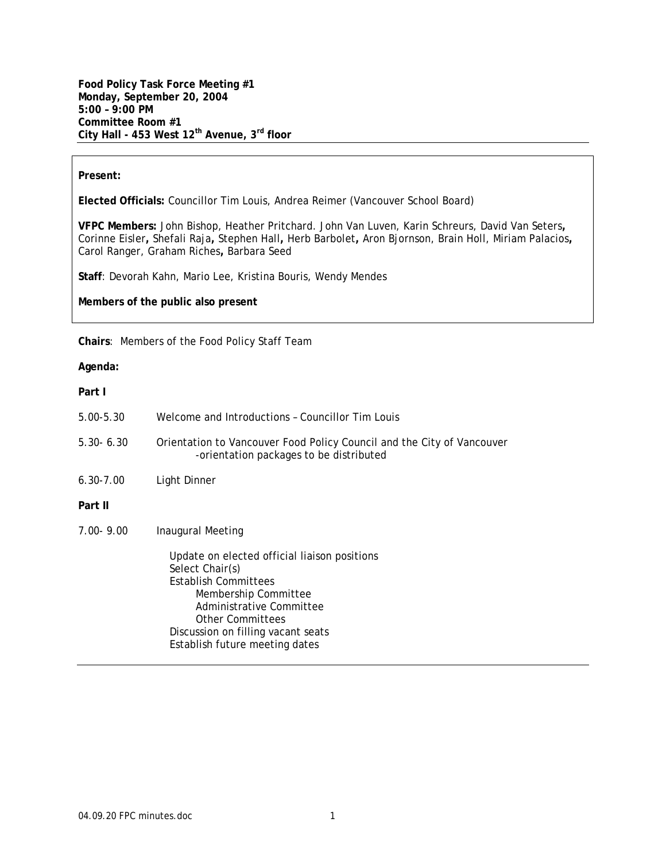**Food Policy Task Force Meeting #1 Monday, September 20, 2004 5:00 – 9:00 PM Committee Room #1 City Hall - 453 West 12th Avenue, 3rd floor** 

#### **Present:**

**Elected Officials:** Councillor Tim Louis, Andrea Reimer (Vancouver School Board)

**VFPC Members:** John Bishop, Heather Pritchard. John Van Luven, Karin Schreurs, David Van Seters**,**  Corinne Eisler**,** Shefali Raja**,** Stephen Hall**,** Herb Barbolet**,** Aron Bjornson, Brain Holl, Miriam Palacios**,**  Carol Ranger, Graham Riches**,** Barbara Seed

**Staff**: Devorah Kahn, Mario Lee, Kristina Bouris, Wendy Mendes

**Members of the public also present** 

**Chairs**: Members of the Food Policy Staff Team

# **Agenda:**

**Part I** 

| $5.00 - 5.30$ | Welcome and Introductions - Councillor Tim Louis                                                                                                                                                                                               |
|---------------|------------------------------------------------------------------------------------------------------------------------------------------------------------------------------------------------------------------------------------------------|
| $5.30 - 6.30$ | Orientation to Vancouver Food Policy Council and the City of Vancouver<br>-orientation packages to be distributed                                                                                                                              |
| $6.30 - 7.00$ | Light Dinner                                                                                                                                                                                                                                   |
| Part II       |                                                                                                                                                                                                                                                |
| $7.00 - 9.00$ | Inaugural Meeting                                                                                                                                                                                                                              |
|               | Update on elected official liaison positions<br>Select Chair(s)<br><b>Establish Committees</b><br>Membership Committee<br>Administrative Committee<br>Other Committees<br>Discussion on filling vacant seats<br>Establish future meeting dates |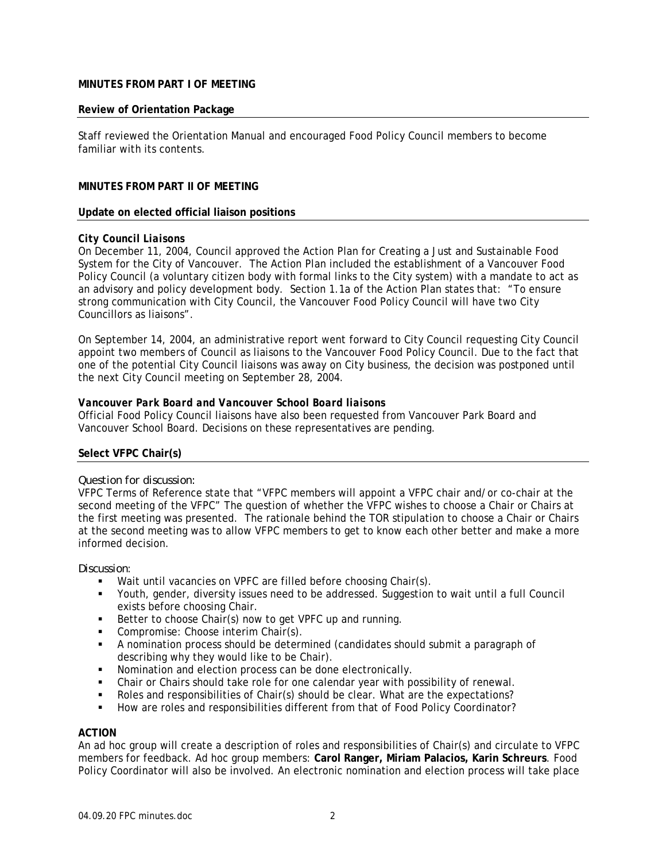# **MINUTES FROM PART I OF MEETING**

#### **Review of Orientation Package**

Staff reviewed the Orientation Manual and encouraged Food Policy Council members to become familiar with its contents.

# **MINUTES FROM PART II OF MEETING**

#### **Update on elected official liaison positions**

### *City Council Liaisons*

On December 11, 2004, Council approved the Action Plan for Creating a Just and Sustainable Food System for the City of Vancouver. The Action Plan included the establishment of a Vancouver Food Policy Council (a voluntary citizen body with formal links to the City system) with a mandate to act as an advisory and policy development body. Section 1.1a of the Action Plan states that: "To ensure strong communication with City Council, the Vancouver Food Policy Council will have two City Councillors as liaisons".

On September 14, 2004, an administrative report went forward to City Council requesting City Council appoint two members of Council as liaisons to the Vancouver Food Policy Council. Due to the fact that one of the potential City Council liaisons was away on City business, the decision was postponed until the next City Council meeting on September 28, 2004.

#### *Vancouver Park Board and Vancouver School Board liaisons*

Official Food Policy Council liaisons have also been requested from Vancouver Park Board and Vancouver School Board. Decisions on these representatives are pending.

### **Select VFPC Chair(s)**

#### *Question for discussion:*

VFPC Terms of Reference state that "VFPC members will appoint a VFPC chair and/or co-chair at the second meeting of the VFPC" The question of whether the VFPC wishes to choose a Chair or Chairs at the first meeting was presented. The rationale behind the TOR stipulation to choose a Chair or Chairs at the second meeting was to allow VFPC members to get to know each other better and make a more informed decision.

#### *Discussion*:

- Wait until vacancies on VPFC are filled before choosing Chair(s).
- Youth, gender, diversity issues need to be addressed. Suggestion to wait until a full Council exists before choosing Chair.
- Better to choose Chair(s) now to get VPFC up and running.
- Compromise: Choose interim Chair(s).
- A nomination process should be determined (candidates should submit a paragraph of describing why they would like to be Chair).
- Nomination and election process can be done electronically.
- Chair or Chairs should take role for one calendar year with possibility of renewal.
- Roles and responsibilities of Chair(s) should be clear. What are the expectations?
- How are roles and responsibilities different from that of Food Policy Coordinator?

### **ACTION**

An ad hoc group will create a description of roles and responsibilities of Chair(s) and circulate to VFPC members for feedback. Ad hoc group members: **Carol Ranger, Miriam Palacios, Karin Schreurs**. Food Policy Coordinator will also be involved. An electronic nomination and election process will take place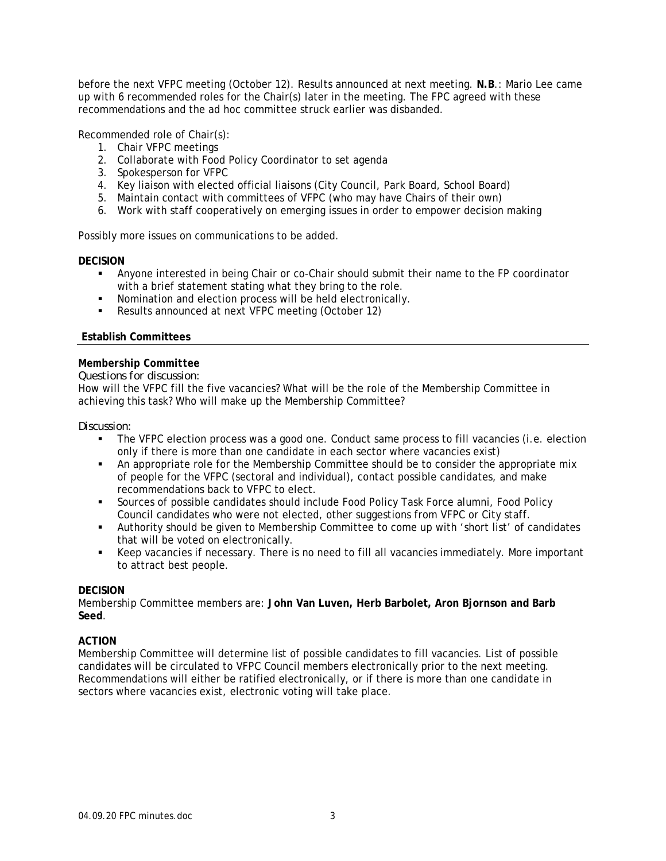before the next VFPC meeting (October 12). Results announced at next meeting. **N.B**.: Mario Lee came up with 6 recommended roles for the Chair(s) later in the meeting. The FPC agreed with these recommendations and the ad hoc committee struck earlier was disbanded.

Recommended role of Chair(s):

- 1. Chair VFPC meetings
- 2. Collaborate with Food Policy Coordinator to set agenda
- 3. Spokesperson for VFPC
- 4. Key liaison with elected official liaisons (City Council, Park Board, School Board)
- 5. Maintain contact with committees of VFPC (who may have Chairs of their own)
- 6. Work with staff cooperatively on emerging issues in order to empower decision making

Possibly more issues on communications to be added.

# **DECISION**

- Anyone interested in being Chair or co-Chair should submit their name to the FP coordinator with a brief statement stating what they bring to the role.
- Nomination and election process will be held electronically.
- Results announced at next VFPC meeting (October 12)

# **Establish Committees**

# *Membership Committee*

### *Questions for discussion:*

How will the VFPC fill the five vacancies? What will be the role of the Membership Committee in achieving this task? Who will make up the Membership Committee?

### *Discussion:*

- The VFPC election process was a good one. Conduct same process to fill vacancies (i.e. election only if there is more than one candidate in each sector where vacancies exist)
- An appropriate role for the Membership Committee should be to consider the appropriate mix of people for the VFPC (sectoral and individual), contact possible candidates, and make recommendations back to VFPC to elect.
- Sources of possible candidates should include Food Policy Task Force alumni, Food Policy Council candidates who were not elected, other suggestions from VFPC or City staff.
- Authority should be given to Membership Committee to come up with 'short list' of candidates that will be voted on electronically.
- Keep vacancies if necessary. There is no need to fill all vacancies immediately. More important to attract best people.

### **DECISION**

Membership Committee members are: **John Van Luven, Herb Barbolet, Aron Bjornson and Barb Seed**.

### **ACTION**

Membership Committee will determine list of possible candidates to fill vacancies. List of possible candidates will be circulated to VFPC Council members electronically prior to the next meeting. Recommendations will either be ratified electronically, or if there is more than one candidate in sectors where vacancies exist, electronic voting will take place.